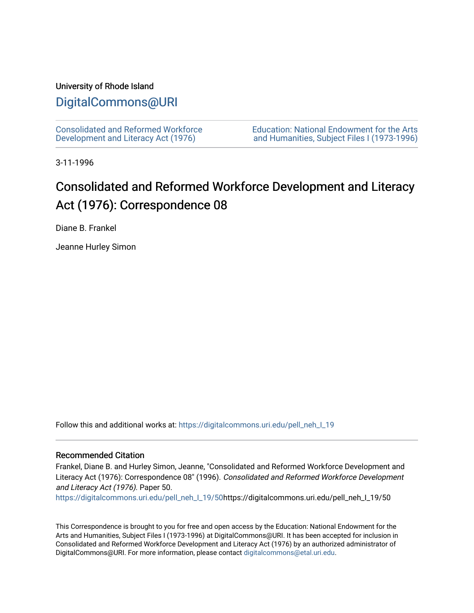## University of Rhode Island

## [DigitalCommons@URI](https://digitalcommons.uri.edu/)

[Consolidated and Reformed Workforce](https://digitalcommons.uri.edu/pell_neh_I_19)  [Development and Literacy Act \(1976\)](https://digitalcommons.uri.edu/pell_neh_I_19) 

[Education: National Endowment for the Arts](https://digitalcommons.uri.edu/pell_neh_I)  [and Humanities, Subject Files I \(1973-1996\)](https://digitalcommons.uri.edu/pell_neh_I) 

3-11-1996

## Consolidated and Reformed Workforce Development and Literacy Act (1976): Correspondence 08

Diane B. Frankel

Jeanne Hurley Simon

Follow this and additional works at: https://digitalcommons.uri.edu/pell\_neh\_I\_19

## Recommended Citation

Frankel, Diane B. and Hurley Simon, Jeanne, "Consolidated and Reformed Workforce Development and Literacy Act (1976): Correspondence 08" (1996). Consolidated and Reformed Workforce Development and Literacy Act (1976). Paper 50.

[https://digitalcommons.uri.edu/pell\\_neh\\_I\\_19/50h](https://digitalcommons.uri.edu/pell_neh_I_19/50?utm_source=digitalcommons.uri.edu%2Fpell_neh_I_19%2F50&utm_medium=PDF&utm_campaign=PDFCoverPages)ttps://digitalcommons.uri.edu/pell\_neh\_I\_19/50

This Correspondence is brought to you for free and open access by the Education: National Endowment for the Arts and Humanities, Subject Files I (1973-1996) at DigitalCommons@URI. It has been accepted for inclusion in Consolidated and Reformed Workforce Development and Literacy Act (1976) by an authorized administrator of DigitalCommons@URI. For more information, please contact [digitalcommons@etal.uri.edu.](mailto:digitalcommons@etal.uri.edu)